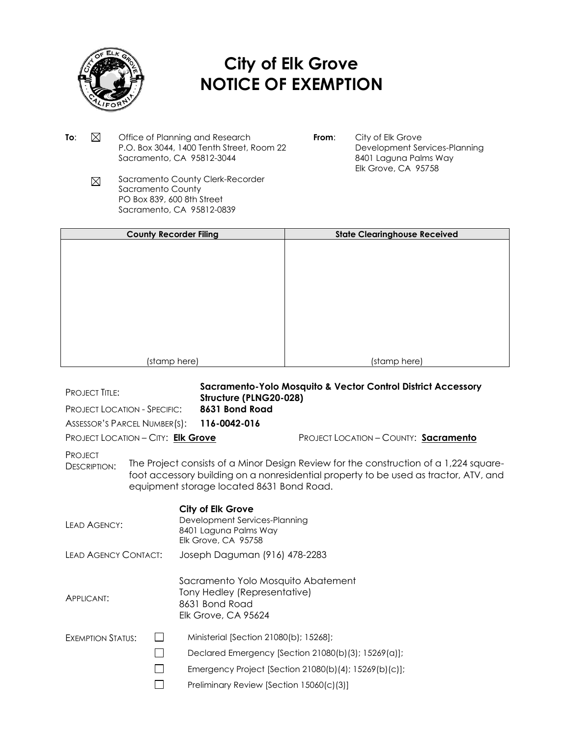

## **City of Elk Grove NOTICE OF EXEMPTION**

- **To**:  $\boxtimes$  Office of Planning and Research P.O. Box 3044, 1400 Tenth Street, Room 22 Sacramento, CA 95812-3044
- **From:** City of Elk Grove Development Services-Planning 8401 Laguna Palms Way Elk Grove, CA 95758
- Sacramento County Clerk-Recorder  $\boxtimes$ Sacramento County PO Box 839, 600 8th Street Sacramento, CA 95812-0839

| <b>County Recorder Filing</b> | <b>State Clearinghouse Received</b> |
|-------------------------------|-------------------------------------|
|                               |                                     |
|                               |                                     |
|                               |                                     |
|                               |                                     |
|                               |                                     |
|                               |                                     |
|                               |                                     |
|                               |                                     |
|                               |                                     |
|                               |                                     |
| (stamp here)                  | (stamp here)                        |

| <b>PROJECT TITLE:</b>                                                                                                                                                                                                                                               |  |                                                                                                    | <b>Sacramento-Yolo Mosquito &amp; Vector Control District Accessory</b><br>Structure (PLNG20-028)<br>8631 Bond Road |  |
|---------------------------------------------------------------------------------------------------------------------------------------------------------------------------------------------------------------------------------------------------------------------|--|----------------------------------------------------------------------------------------------------|---------------------------------------------------------------------------------------------------------------------|--|
| <b>PROJECT LOCATION - SPECIFIC:</b>                                                                                                                                                                                                                                 |  |                                                                                                    |                                                                                                                     |  |
| ASSESSOR'S PARCEL NUMBER(S):                                                                                                                                                                                                                                        |  | 116-0042-016                                                                                       |                                                                                                                     |  |
| PROJECT LOCATION - CITY: Elk Grove                                                                                                                                                                                                                                  |  |                                                                                                    | PROJECT LOCATION - COUNTY: Sacramento                                                                               |  |
| <b>PROJECT</b><br>The Project consists of a Minor Design Review for the construction of a 1,224 square-<br><b>DESCRIPTION:</b><br>foot accessory building on a nonresidential property to be used as tractor, ATV, and<br>equipment storage located 8631 Bond Road. |  |                                                                                                    |                                                                                                                     |  |
| LEAD AGENCY:                                                                                                                                                                                                                                                        |  | City of Elk Grove<br>Development Services-Planning<br>8401 Laguna Palms Way<br>Elk Grove, CA 95758 |                                                                                                                     |  |
| <b>LEAD AGENCY CONTACT:</b>                                                                                                                                                                                                                                         |  |                                                                                                    | Joseph Daguman (916) 478-2283                                                                                       |  |
| <b>APPLICANT:</b>                                                                                                                                                                                                                                                   |  | 8631 Bond Road<br>Elk Grove, CA 95624                                                              | Sacramento Yolo Mosquito Abatement<br>Tony Hedley (Representative)                                                  |  |
| <b>EXEMPTION STATUS:</b>                                                                                                                                                                                                                                            |  | Ministerial [Section 21080(b); 15268];<br>Preliminary Review [Section 15060(c)(3)]                 | Declared Emergency [Section 21080(b)(3); 15269(a)];<br>Emergency Project [Section 21080(b)(4); 15269(b)(c)];        |  |